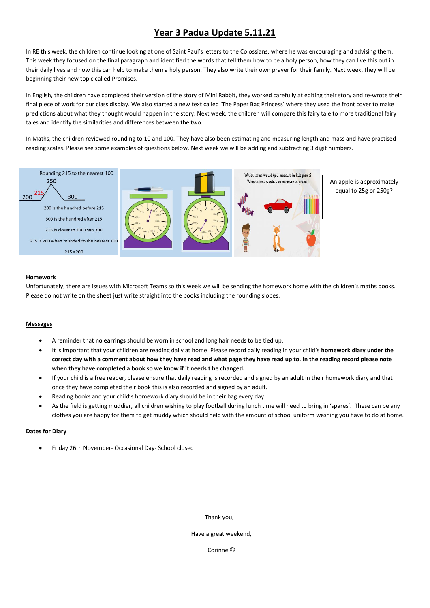# **Year 3 Padua Update 5.11.21**

In RE this week, the children continue looking at one of Saint Paul's letters to the Colossians, where he was encouraging and advising them. This week they focused on the final paragraph and identified the words that tell them how to be a holy person, how they can live this out in their daily lives and how this can help to make them a holy person. They also write their own prayer for their family. Next week, they will be beginning their new topic called Promises.

In English, the children have completed their version of the story of Mini Rabbit, they worked carefully at editing their story and re-wrote their final piece of work for our class display. We also started a new text called 'The Paper Bag Princess' where they used the front cover to make predictions about what they thought would happen in the story. Next week, the children will compare this fairy tale to more traditional fairy tales and identify the similarities and differences between the two.

In Maths, the children reviewed rounding to 10 and 100. They have also been estimating and measuring length and mass and have practised reading scales. Please see some examples of questions below. Next week we will be adding and subtracting 3 digit numbers.



#### **Homework**

Unfortunately, there are issues with Microsoft Teams so this week we will be sending the homework home with the children's maths books. Please do not write on the sheet just write straight into the books including the rounding slopes.

#### **Messages**

- A reminder that **no earrings** should be worn in school and long hair needs to be tied up.
- It is important that your children are reading daily at home. Please record daily reading in your child's **homework diary under the correct day with a comment about how they have read and what page they have read up to. In the reading record please note when they have completed a book so we know if it needs t be changed.**
- If your child is a free reader, please ensure that daily reading is recorded and signed by an adult in their homework diary and that once they have completed their book this is also recorded and signed by an adult.
- Reading books and your child's homework diary should be in their bag every day.
- As the field is getting muddier, all children wishing to play football during lunch time will need to bring in 'spares'. These can be any clothes you are happy for them to get muddy which should help with the amount of school uniform washing you have to do at home.

#### **Dates for Diary**

Friday 26th November- Occasional Day- School closed

Thank you,

Have a great weekend,

Corinne<sup>©</sup>